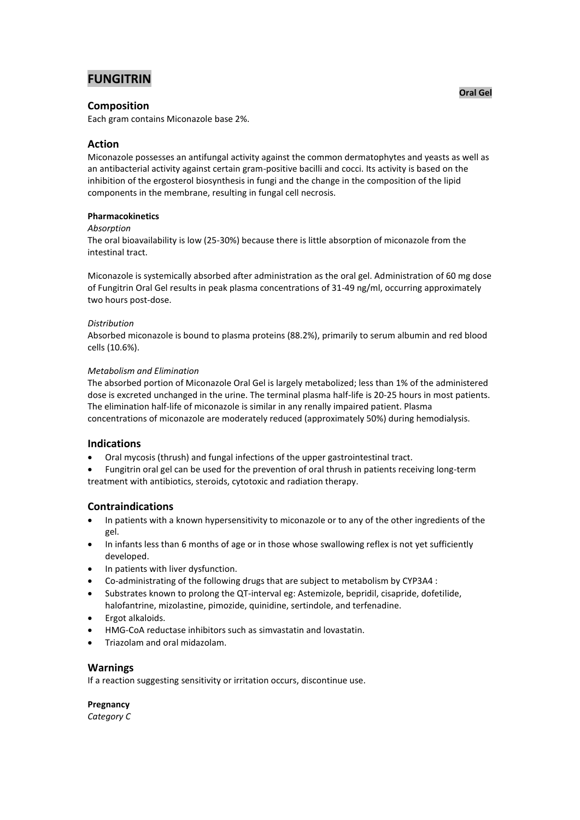# **FUNGITRIN**

# **Composition**

Each gram contains Miconazole base 2%.

# **Action**

Miconazole possesses an antifungal activity against the common dermatophytes and yeasts as well as an antibacterial activity against certain gram-positive bacilli and cocci. Its activity is based on the inhibition of the ergosterol biosynthesis in fungi and the change in the composition of the lipid components in the membrane, resulting in fungal cell necrosis.

### **Pharmacokinetics**

### *Absorption*

The oral bioavailability is low (25-30%) because there is little absorption of miconazole from the intestinal tract.

Miconazole is systemically absorbed after administration as the oral gel. Administration of 60 mg dose of Fungitrin Oral Gel results in peak plasma concentrations of 31-49 ng/ml, occurring approximately two hours post-dose.

### *Distribution*

Absorbed miconazole is bound to plasma proteins (88.2%), primarily to serum albumin and red blood cells (10.6%).

### *Metabolism and Elimination*

The absorbed portion of Miconazole Oral Gel is largely metabolized; less than 1% of the administered dose is excreted unchanged in the urine. The terminal plasma half-life is 20-25 hours in most patients. The elimination half-life of miconazole is similar in any renally impaired patient. Plasma concentrations of miconazole are moderately reduced (approximately 50%) during hemodialysis.

# **Indications**

Oral mycosis (thrush) and fungal infections of the upper gastrointestinal tract.

 Fungitrin oral gel can be used for the prevention of oral thrush in patients receiving long-term treatment with antibiotics, steroids, cytotoxic and radiation therapy.

# **Contraindications**

- In patients with a known hypersensitivity to miconazole or to any of the other ingredients of the gel.
- In infants less than 6 months of age or in those whose swallowing reflex is not yet sufficiently developed.
- In patients with liver dysfunction.
- Co-administrating of the following drugs that are subject to metabolism by CYP3A4 :
- Substrates known to prolong the QT-interval eg: Astemizole, bepridil, cisapride, dofetilide, halofantrine, mizolastine, pimozide, quinidine, sertindole, and terfenadine.
- Ergot alkaloids.
- HMG-CoA reductase inhibitors such as simvastatin and lovastatin.
- Triazolam and oral midazolam.

### **Warnings**

If a reaction suggesting sensitivity or irritation occurs, discontinue use.

**Pregnancy** *Category C*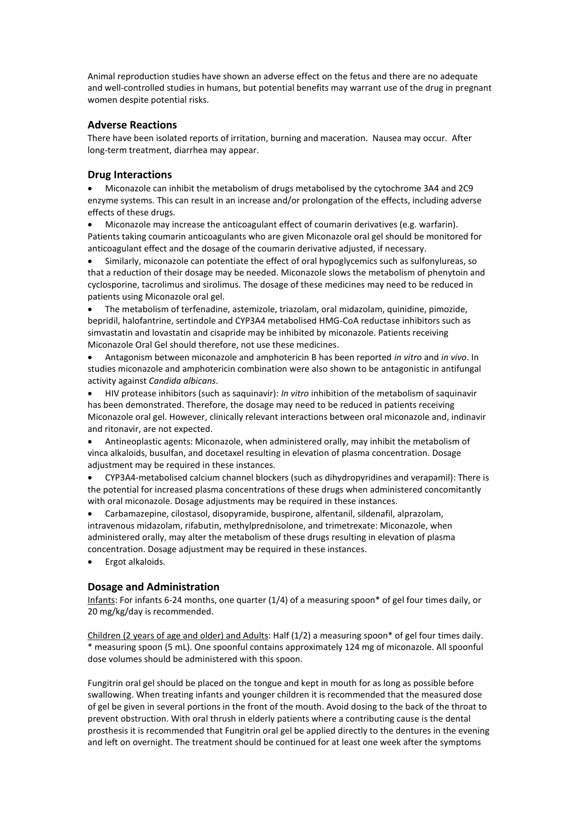Animal reproduction studies have shown an adverse effect on the fetus and there are no adequate and well-controlled studies in humans, but potential benefits may warrant use of the drug in pregnant women despite potential risks.

### **Adverse Reactions**

There have been isolated reports of irritation, burning and maceration. Nausea may occur. After long-term treatment, diarrhea may appear.

### **Drug Interactions**

 Miconazole can inhibit the metabolism of drugs metabolised by the cytochrome 3A4 and 2C9 enzyme systems. This can result in an increase and/or prolongation of the effects, including adverse effects of these drugs.

 Miconazole may increase the anticoagulant effect of coumarin derivatives (e.g. warfarin). Patients taking coumarin anticoagulants who are given Miconazole oral gel should be monitored for anticoagulant effect and the dosage of the coumarin derivative adjusted, if necessary.

 Similarly, miconazole can potentiate the effect of oral hypoglycemics such as sulfonylureas, so that a reduction of their dosage may be needed. Miconazole slows the metabolism of phenytoin and cyclosporine, tacrolimus and sirolimus. The dosage of these medicines may need to be reduced in patients using Miconazole oral gel.

 The metabolism of terfenadine, astemizole, triazolam, oral midazolam, quinidine, pimozide, bepridil, halofantrine, sertindole and CYP3A4 metabolised HMG-CoA reductase inhibitors such as simvastatin and lovastatin and cisapride may be inhibited by miconazole. Patients receiving Miconazole Oral Gel should therefore, not use these medicines.

 Antagonism between miconazole and amphotericin B has been reported *in vitro* and *in vivo*. In studies miconazole and amphotericin combination were also shown to be antagonistic in antifungal activity against *Candida albicans*.

 HIV protease inhibitors (such as saquinavir): *In vitro* inhibition of the metabolism of saquinavir has been demonstrated. Therefore, the dosage may need to be reduced in patients receiving Miconazole oral gel. However, clinically relevant interactions between oral miconazole and, indinavir and ritonavir, are not expected.

 Antineoplastic agents: Miconazole, when administered orally, may inhibit the metabolism of vinca alkaloids, busulfan, and docetaxel resulting in elevation of plasma concentration. Dosage adjustment may be required in these instances.

 CYP3A4-metabolised calcium channel blockers (such as dihydropyridines and verapamil): There is the potential for increased plasma concentrations of these drugs when administered concomitantly with oral miconazole. Dosage adjustments may be required in these instances.

 Carbamazepine, cilostasol, disopyramide, buspirone, alfentanil, sildenafil, alprazolam, intravenous midazolam, rifabutin, methylprednisolone, and trimetrexate: Miconazole, when administered orally, may alter the metabolism of these drugs resulting in elevation of plasma concentration. Dosage adjustment may be required in these instances.

Ergot alkaloids.

# **Dosage and Administration**

Infants: For infants 6-24 months, one quarter (1/4) of a measuring spoon\* of gel four times daily, or 20 mg/kg/day is recommended.

Children (2 years of age and older) and Adults: Half (1/2) a measuring spoon\* of gel four times daily. \* measuring spoon (5 mL). One spoonful contains approximately 124 mg of miconazole. All spoonful dose volumes should be administered with this spoon.

Fungitrin oral gel should be placed on the tongue and kept in mouth for as long as possible before swallowing. When treating infants and younger children it is recommended that the measured dose of gel be given in several portions in the front of the mouth. Avoid dosing to the back of the throat to prevent obstruction. With oral thrush in elderly patients where a contributing cause is the dental prosthesis it is recommended that Fungitrin oral gel be applied directly to the dentures in the evening and left on overnight. The treatment should be continued for at least one week after the symptoms